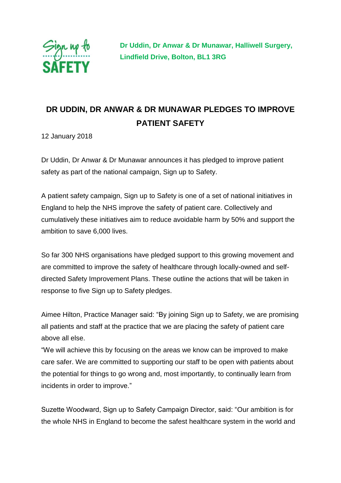

 **Dr Uddin, Dr Anwar & Dr Munawar, Halliwell Surgery, Lindfield Drive, Bolton, BL1 3RG**

## **DR UDDIN, DR ANWAR & DR MUNAWAR PLEDGES TO IMPROVE PATIENT SAFETY**

12 January 2018

Dr Uddin, Dr Anwar & Dr Munawar announces it has pledged to improve patient safety as part of the national campaign, Sign up to Safety.

A patient safety campaign, Sign up to Safety is one of a set of national initiatives in England to help the NHS improve the safety of patient care. Collectively and cumulatively these initiatives aim to reduce avoidable harm by 50% and support the ambition to save 6,000 lives.

So far 300 NHS organisations have pledged support to this growing movement and are committed to improve the safety of healthcare through locally-owned and selfdirected Safety Improvement Plans. These outline the actions that will be taken in response to five Sign up to Safety pledges.

Aimee Hilton, Practice Manager said: "By joining Sign up to Safety, we are promising all patients and staff at the practice that we are placing the safety of patient care above all else.

"We will achieve this by focusing on the areas we know can be improved to make care safer. We are committed to supporting our staff to be open with patients about the potential for things to go wrong and, most importantly, to continually learn from incidents in order to improve."

Suzette Woodward, Sign up to Safety Campaign Director, said: "Our ambition is for the whole NHS in England to become the safest healthcare system in the world and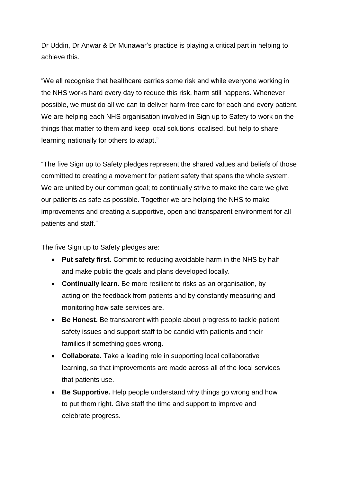Dr Uddin, Dr Anwar & Dr Munawar's practice is playing a critical part in helping to achieve this.

"We all recognise that healthcare carries some risk and while everyone working in the NHS works hard every day to reduce this risk, harm still happens. Whenever possible, we must do all we can to deliver harm-free care for each and every patient. We are helping each NHS organisation involved in Sign up to Safety to work on the things that matter to them and keep local solutions localised, but help to share learning nationally for others to adapt."

"The five Sign up to Safety pledges represent the shared values and beliefs of those committed to creating a movement for patient safety that spans the whole system. We are united by our common goal; to continually strive to make the care we give our patients as safe as possible. Together we are helping the NHS to make improvements and creating a supportive, open and transparent environment for all patients and staff."

The five Sign up to Safety pledges are:

- **Put safety first.** Commit to reducing avoidable harm in the NHS by half and make public the goals and plans developed locally.
- **Continually learn.** Be more resilient to risks as an organisation, by acting on the feedback from patients and by constantly measuring and monitoring how safe services are.
- **Be Honest.** Be transparent with people about progress to tackle patient safety issues and support staff to be candid with patients and their families if something goes wrong.
- **Collaborate.** Take a leading role in supporting local collaborative learning, so that improvements are made across all of the local services that patients use.
- Be Supportive. Help people understand why things go wrong and how to put them right. Give staff the time and support to improve and celebrate progress.